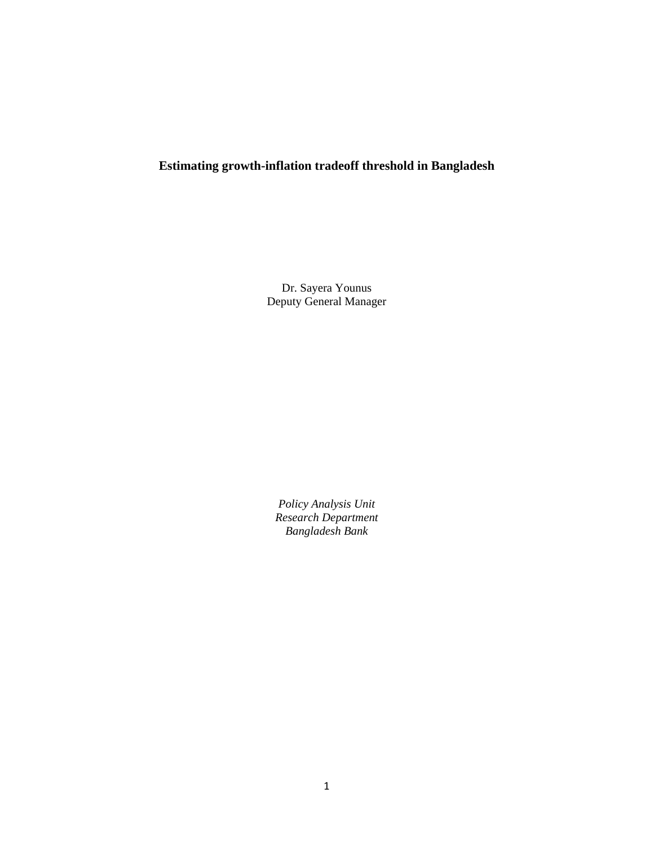# **Estimating growth-inflation tradeoff threshold in Bangladesh**

Dr. Sayera Younus Deputy General Manager

*Policy Analysis Unit Research Department Bangladesh Bank*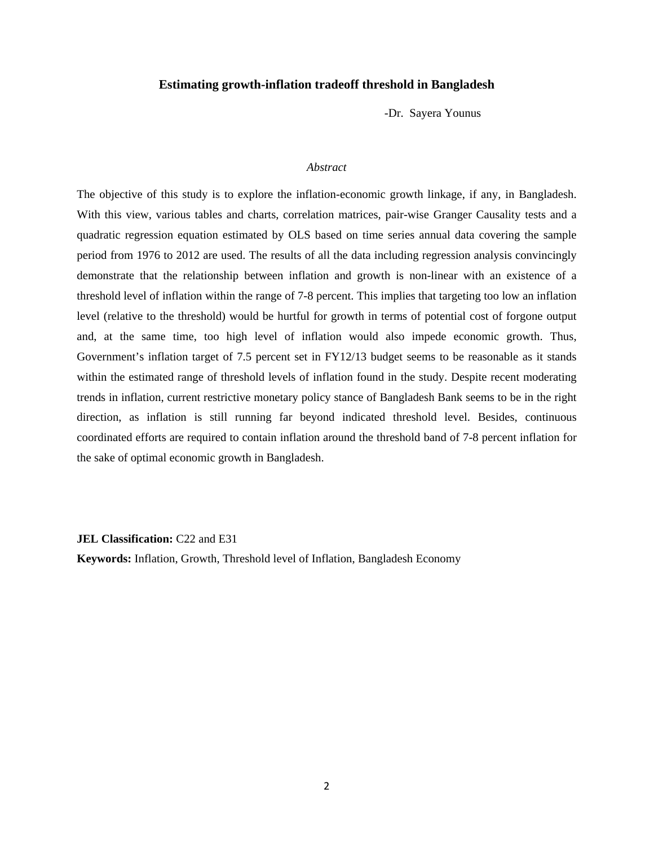## **Estimating growth-inflation tradeoff threshold in Bangladesh**

-Dr. Sayera Younus

## *Abstract*

The objective of this study is to explore the inflation-economic growth linkage, if any, in Bangladesh. With this view, various tables and charts, correlation matrices, pair-wise Granger Causality tests and a quadratic regression equation estimated by OLS based on time series annual data covering the sample period from 1976 to 2012 are used. The results of all the data including regression analysis convincingly demonstrate that the relationship between inflation and growth is non-linear with an existence of a threshold level of inflation within the range of 7-8 percent. This implies that targeting too low an inflation level (relative to the threshold) would be hurtful for growth in terms of potential cost of forgone output and, at the same time, too high level of inflation would also impede economic growth. Thus, Government's inflation target of 7.5 percent set in FY12/13 budget seems to be reasonable as it stands within the estimated range of threshold levels of inflation found in the study. Despite recent moderating trends in inflation, current restrictive monetary policy stance of Bangladesh Bank seems to be in the right direction, as inflation is still running far beyond indicated threshold level. Besides, continuous coordinated efforts are required to contain inflation around the threshold band of 7-8 percent inflation for the sake of optimal economic growth in Bangladesh.

**JEL Classification:** C22 and E31

**Keywords:** Inflation, Growth, Threshold level of Inflation, Bangladesh Economy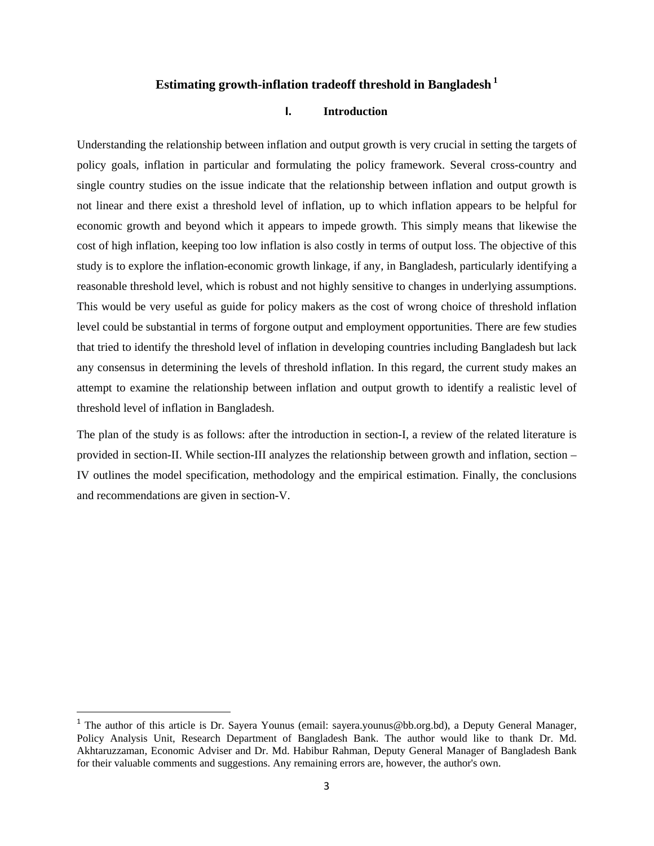## **Estimating growth-inflation tradeoff threshold in Bangladesh 1**

## **I. Introduction**

Understanding the relationship between inflation and output growth is very crucial in setting the targets of policy goals, inflation in particular and formulating the policy framework. Several cross-country and single country studies on the issue indicate that the relationship between inflation and output growth is not linear and there exist a threshold level of inflation, up to which inflation appears to be helpful for economic growth and beyond which it appears to impede growth. This simply means that likewise the cost of high inflation, keeping too low inflation is also costly in terms of output loss. The objective of this study is to explore the inflation-economic growth linkage, if any, in Bangladesh, particularly identifying a reasonable threshold level, which is robust and not highly sensitive to changes in underlying assumptions. This would be very useful as guide for policy makers as the cost of wrong choice of threshold inflation level could be substantial in terms of forgone output and employment opportunities. There are few studies that tried to identify the threshold level of inflation in developing countries including Bangladesh but lack any consensus in determining the levels of threshold inflation. In this regard, the current study makes an attempt to examine the relationship between inflation and output growth to identify a realistic level of threshold level of inflation in Bangladesh.

The plan of the study is as follows: after the introduction in section-I, a review of the related literature is provided in section-II. While section-III analyzes the relationship between growth and inflation, section – IV outlines the model specification, methodology and the empirical estimation. Finally, the conclusions and recommendations are given in section-V.

<sup>&</sup>lt;sup>1</sup> The author of this article is Dr. Sayera Younus (email: sayera.younus@bb.org.bd), a Deputy General Manager, Policy Analysis Unit, Research Department of Bangladesh Bank. The author would like to thank Dr. Md. Akhtaruzzaman, Economic Adviser and Dr. Md. Habibur Rahman, Deputy General Manager of Bangladesh Bank for their valuable comments and suggestions. Any remaining errors are, however, the author's own.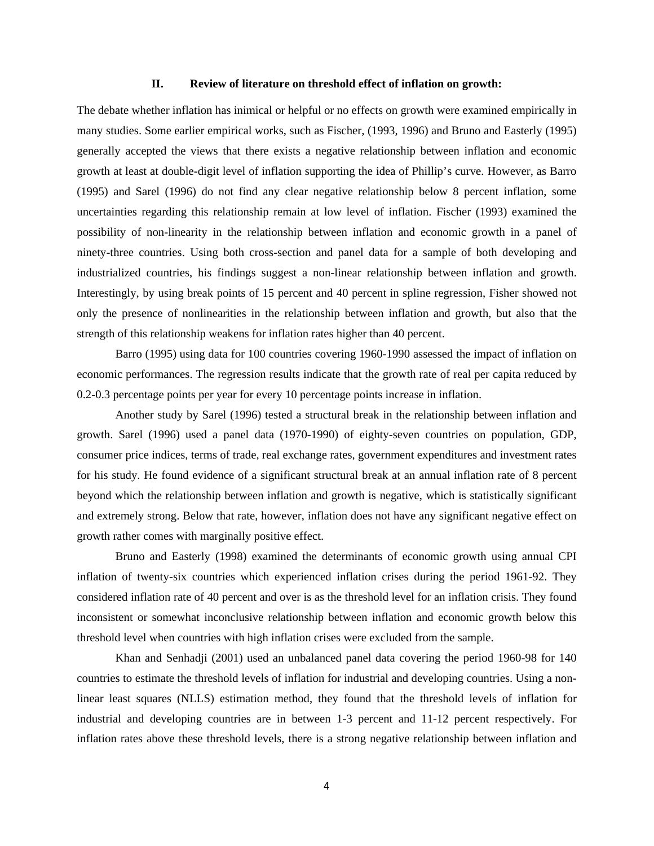#### **II. Review of literature on threshold effect of inflation on growth:**

The debate whether inflation has inimical or helpful or no effects on growth were examined empirically in many studies. Some earlier empirical works, such as Fischer, (1993, 1996) and Bruno and Easterly (1995) generally accepted the views that there exists a negative relationship between inflation and economic growth at least at double-digit level of inflation supporting the idea of Phillip's curve. However, as Barro (1995) and Sarel (1996) do not find any clear negative relationship below 8 percent inflation, some uncertainties regarding this relationship remain at low level of inflation. Fischer (1993) examined the possibility of non-linearity in the relationship between inflation and economic growth in a panel of ninety-three countries. Using both cross-section and panel data for a sample of both developing and industrialized countries, his findings suggest a non-linear relationship between inflation and growth. Interestingly, by using break points of 15 percent and 40 percent in spline regression, Fisher showed not only the presence of nonlinearities in the relationship between inflation and growth, but also that the strength of this relationship weakens for inflation rates higher than 40 percent.

Barro (1995) using data for 100 countries covering 1960-1990 assessed the impact of inflation on economic performances. The regression results indicate that the growth rate of real per capita reduced by 0.2-0.3 percentage points per year for every 10 percentage points increase in inflation.

Another study by Sarel (1996) tested a structural break in the relationship between inflation and growth. Sarel (1996) used a panel data (1970-1990) of eighty-seven countries on population, GDP, consumer price indices, terms of trade, real exchange rates, government expenditures and investment rates for his study. He found evidence of a significant structural break at an annual inflation rate of 8 percent beyond which the relationship between inflation and growth is negative, which is statistically significant and extremely strong. Below that rate, however, inflation does not have any significant negative effect on growth rather comes with marginally positive effect.

Bruno and Easterly (1998) examined the determinants of economic growth using annual CPI inflation of twenty-six countries which experienced inflation crises during the period 1961-92. They considered inflation rate of 40 percent and over is as the threshold level for an inflation crisis. They found inconsistent or somewhat inconclusive relationship between inflation and economic growth below this threshold level when countries with high inflation crises were excluded from the sample.

Khan and Senhadji (2001) used an unbalanced panel data covering the period 1960-98 for 140 countries to estimate the threshold levels of inflation for industrial and developing countries. Using a nonlinear least squares (NLLS) estimation method, they found that the threshold levels of inflation for industrial and developing countries are in between 1-3 percent and 11-12 percent respectively. For inflation rates above these threshold levels, there is a strong negative relationship between inflation and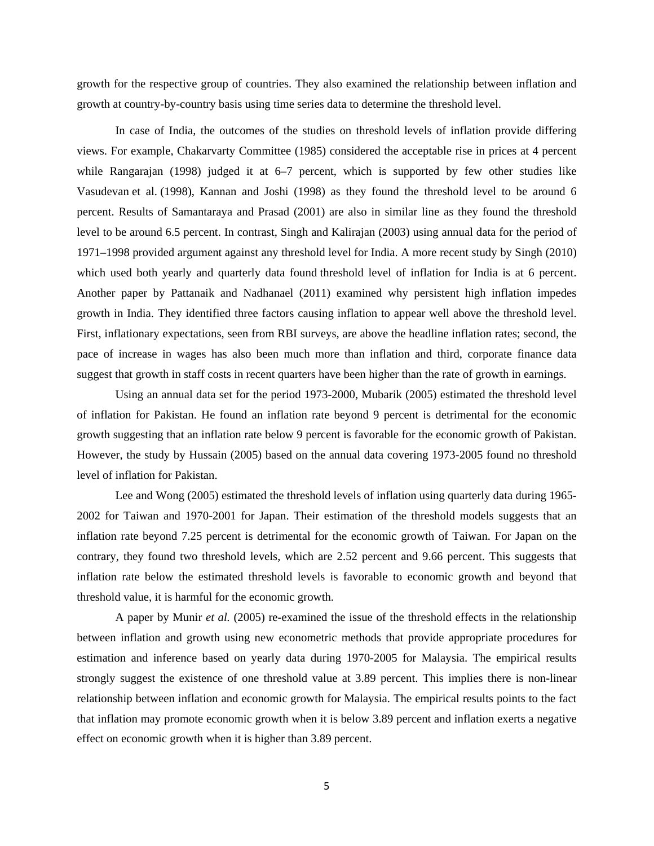growth for the respective group of countries. They also examined the relationship between inflation and growth at country-by-country basis using time series data to determine the threshold level.

In case of India, the outcomes of the studies on threshold levels of inflation provide differing views. For example, Chakarvarty Committee (1985) considered the acceptable rise in prices at 4 percent while Rangarajan (1998) judged it at 6–7 percent, which is supported by few other studies like Vasudevan et al. (1998), Kannan and Joshi (1998) as they found the threshold level to be around 6 percent. Results of Samantaraya and Prasad (2001) are also in similar line as they found the threshold level to be around 6.5 percent. In contrast, Singh and Kalirajan (2003) using annual data for the period of 1971–1998 provided argument against any threshold level for India. A more recent study by Singh (2010) which used both yearly and quarterly data found threshold level of inflation for India is at 6 percent. Another paper by Pattanaik and Nadhanael (2011) examined why persistent high inflation impedes growth in India. They identified three factors causing inflation to appear well above the threshold level. First, inflationary expectations, seen from RBI surveys, are above the headline inflation rates; second, the pace of increase in wages has also been much more than inflation and third, corporate finance data suggest that growth in staff costs in recent quarters have been higher than the rate of growth in earnings.

Using an annual data set for the period 1973-2000, Mubarik (2005) estimated the threshold level of inflation for Pakistan. He found an inflation rate beyond 9 percent is detrimental for the economic growth suggesting that an inflation rate below 9 percent is favorable for the economic growth of Pakistan. However, the study by Hussain (2005) based on the annual data covering 1973-2005 found no threshold level of inflation for Pakistan.

Lee and Wong (2005) estimated the threshold levels of inflation using quarterly data during 1965- 2002 for Taiwan and 1970-2001 for Japan. Their estimation of the threshold models suggests that an inflation rate beyond 7.25 percent is detrimental for the economic growth of Taiwan. For Japan on the contrary, they found two threshold levels, which are 2.52 percent and 9.66 percent. This suggests that inflation rate below the estimated threshold levels is favorable to economic growth and beyond that threshold value, it is harmful for the economic growth.

A paper by Munir *et al.* (2005) re-examined the issue of the threshold effects in the relationship between inflation and growth using new econometric methods that provide appropriate procedures for estimation and inference based on yearly data during 1970-2005 for Malaysia. The empirical results strongly suggest the existence of one threshold value at 3.89 percent. This implies there is non-linear relationship between inflation and economic growth for Malaysia. The empirical results points to the fact that inflation may promote economic growth when it is below 3.89 percent and inflation exerts a negative effect on economic growth when it is higher than 3.89 percent.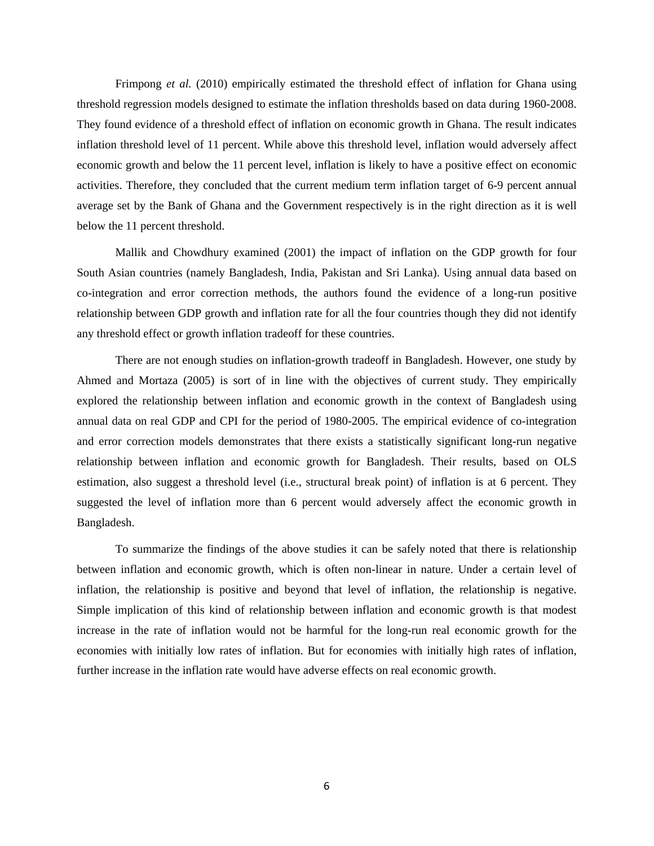Frimpong *et al.* (2010) empirically estimated the threshold effect of inflation for Ghana using threshold regression models designed to estimate the inflation thresholds based on data during 1960-2008. They found evidence of a threshold effect of inflation on economic growth in Ghana. The result indicates inflation threshold level of 11 percent. While above this threshold level, inflation would adversely affect economic growth and below the 11 percent level, inflation is likely to have a positive effect on economic activities. Therefore, they concluded that the current medium term inflation target of 6-9 percent annual average set by the Bank of Ghana and the Government respectively is in the right direction as it is well below the 11 percent threshold.

Mallik and Chowdhury examined (2001) the impact of inflation on the GDP growth for four South Asian countries (namely Bangladesh, India, Pakistan and Sri Lanka). Using annual data based on co-integration and error correction methods, the authors found the evidence of a long-run positive relationship between GDP growth and inflation rate for all the four countries though they did not identify any threshold effect or growth inflation tradeoff for these countries.

There are not enough studies on inflation-growth tradeoff in Bangladesh. However, one study by Ahmed and Mortaza (2005) is sort of in line with the objectives of current study. They empirically explored the relationship between inflation and economic growth in the context of Bangladesh using annual data on real GDP and CPI for the period of 1980-2005. The empirical evidence of co-integration and error correction models demonstrates that there exists a statistically significant long-run negative relationship between inflation and economic growth for Bangladesh. Their results, based on OLS estimation, also suggest a threshold level (i.e., structural break point) of inflation is at 6 percent. They suggested the level of inflation more than 6 percent would adversely affect the economic growth in Bangladesh.

To summarize the findings of the above studies it can be safely noted that there is relationship between inflation and economic growth, which is often non-linear in nature. Under a certain level of inflation, the relationship is positive and beyond that level of inflation, the relationship is negative. Simple implication of this kind of relationship between inflation and economic growth is that modest increase in the rate of inflation would not be harmful for the long-run real economic growth for the economies with initially low rates of inflation. But for economies with initially high rates of inflation, further increase in the inflation rate would have adverse effects on real economic growth.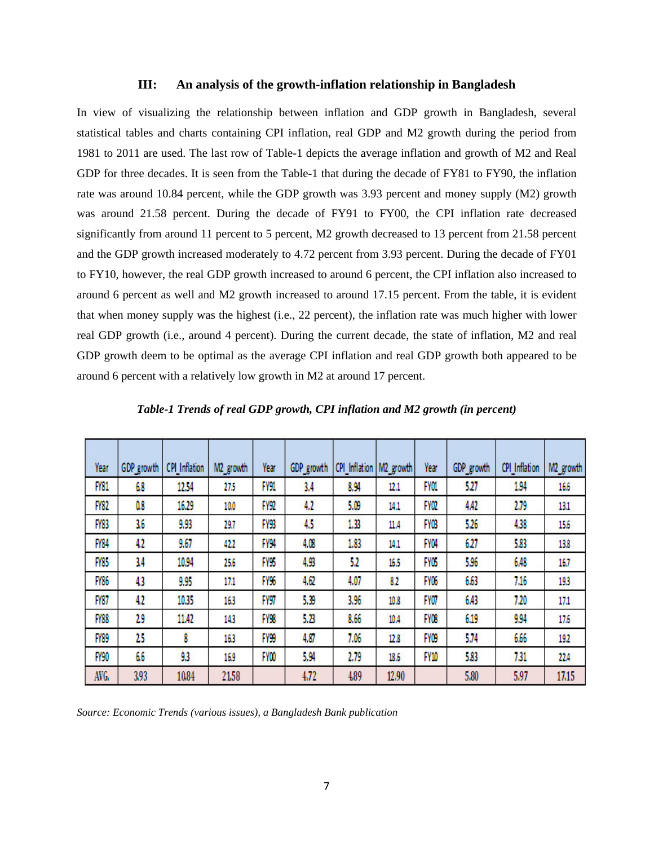#### **III: An analysis of the growth-inflation relationship in Bangladesh**

In view of visualizing the relationship between inflation and GDP growth in Bangladesh, several statistical tables and charts containing CPI inflation, real GDP and M2 growth during the period from 1981 to 2011 are used. The last row of Table-1 depicts the average inflation and growth of M2 and Real GDP for three decades. It is seen from the Table-1 that during the decade of FY81 to FY90, the inflation rate was around 10.84 percent, while the GDP growth was 3.93 percent and money supply (M2) growth was around 21.58 percent. During the decade of FY91 to FY00, the CPI inflation rate decreased significantly from around 11 percent to 5 percent, M2 growth decreased to 13 percent from 21.58 percent and the GDP growth increased moderately to 4.72 percent from 3.93 percent. During the decade of FY01 to FY10, however, the real GDP growth increased to around 6 percent, the CPI inflation also increased to around 6 percent as well and M2 growth increased to around 17.15 percent. From the table, it is evident that when money supply was the highest (i.e., 22 percent), the inflation rate was much higher with lower real GDP growth (i.e., around 4 percent). During the current decade, the state of inflation, M2 and real GDP growth deem to be optimal as the average CPI inflation and real GDP growth both appeared to be around 6 percent with a relatively low growth in M2 at around 17 percent.

| Year        | GDP growth | <b>CPI</b> Inflation | M2 growth | Year             | GDP growth | CPI Inflation   M2 growth |       | Year            | GDP growth | <b>CPI</b> Inflation | M2 growth |
|-------------|------------|----------------------|-----------|------------------|------------|---------------------------|-------|-----------------|------------|----------------------|-----------|
| <b>FY81</b> | 68         | 12.54                | 275       | FY91             | 3.4        | 8.94                      | 12.1  | FY01            | 527        | 1.94                 | 16.6      |
| <b>FY82</b> | 0.8        | 16.29                | 10,0      | FY92             | 4.2        | 5.09                      | 14.1  | <b>FYOZ</b>     | 4.42       | 2.79                 | 13,1      |
| <b>FY83</b> | 36         | 9.93                 | 29,7      | FY93             | 45         | 1.33                      | 11.4  | <b>FYOB</b>     | 5.26       | 4,38                 | 15.6      |
| <b>FY84</b> | 42         | 9.67                 | 422       | <b>FY94</b>      | 4.08       | 1.83                      | 14,1  | FYM             | 627        | 5.83                 | 13.8      |
| <b>FY85</b> | 34         | 10.94                | 25,6      | FY <sub>95</sub> | 4.93       | 52                        | 16.5  | FY <sub>0</sub> | 5.96       | 6.48                 | 16.7      |
| <b>FY86</b> | 43         | 9.95                 | 17,1      | FY%              | 4.62       | 4.07                      | 82    | FY06            | 6.63       | 7.16                 | 193       |
| FY87        | 42         | 10.35                | 163       | FY97             | 5.39       | 3.96                      | 10.8  | FYO7            | 6.43       | 7.20                 | 17,1      |
| <b>FY88</b> | 29         | 11.42                | 143       | FY <sub>98</sub> | 5.23       | 8.66                      | 10.4  | FY08            | 6.19       | 9.94                 | 17.6      |
| <b>FY89</b> | 25         | 8                    | 163       | FY99             | 4.87       | 7.06                      | 12.8  | FY <sub>0</sub> | 5.74       | 6.66                 | 192       |
| <b>FY90</b> | 66         | 93                   | 16,9      | FY00             | 5.94       | 2.79                      | 18.6  | FY10            | 5.83       | 731                  | 11 А      |
| AVG.        | 3.93       | 10.84                | 2158      |                  | 4.72       | 489                       | 12.90 |                 | 5.80       | 5.97                 | 17.15     |

*Table-1 Trends of real GDP growth, CPI inflation and M2 growth (in percent)* 

*Source: Economic Trends (various issues), a Bangladesh Bank publication*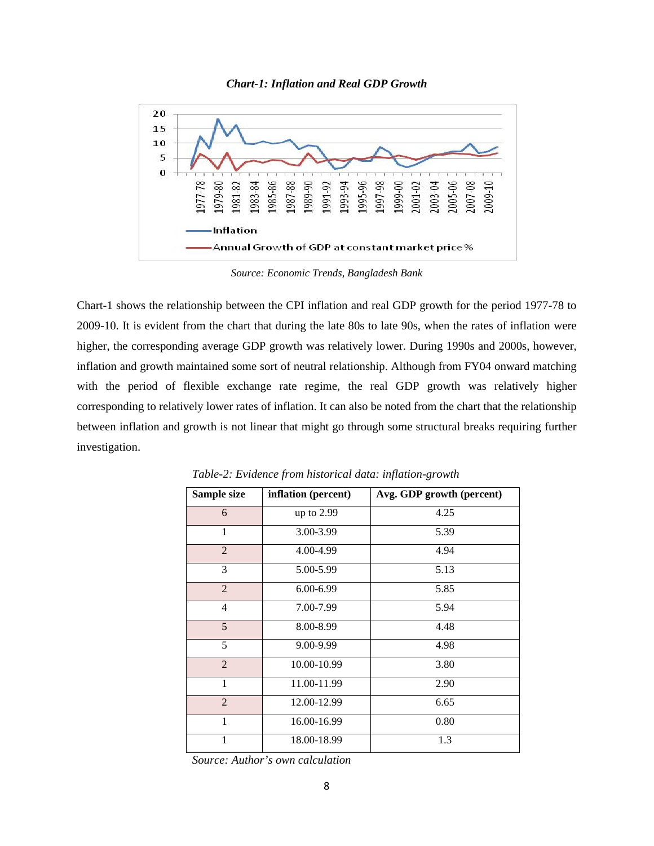



*Source: Economic Trends, Bangladesh Bank* 

Chart-1 shows the relationship between the CPI inflation and real GDP growth for the period 1977-78 to 2009-10. It is evident from the chart that during the late 80s to late 90s, when the rates of inflation were higher, the corresponding average GDP growth was relatively lower. During 1990s and 2000s, however, inflation and growth maintained some sort of neutral relationship. Although from FY04 onward matching with the period of flexible exchange rate regime, the real GDP growth was relatively higher corresponding to relatively lower rates of inflation. It can also be noted from the chart that the relationship between inflation and growth is not linear that might go through some structural breaks requiring further investigation.

| Sample size    | inflation (percent) | Avg. GDP growth (percent) |
|----------------|---------------------|---------------------------|
| 6              | up to 2.99          | 4.25                      |
| 1              | 3.00-3.99           | 5.39                      |
| $\overline{2}$ | 4.00-4.99           | 4.94                      |
| 3              | 5.00-5.99           | 5.13                      |
| $\overline{2}$ | 6.00-6.99           | 5.85                      |
| $\overline{4}$ | 7.00-7.99           | 5.94                      |
| 5              | 8.00-8.99           | 4.48                      |
| 5              | 9.00-9.99           | 4.98                      |
| 2              | 10.00-10.99         | 3.80                      |
| 1              | 11.00-11.99         | 2.90                      |
| $\overline{2}$ | 12.00-12.99         | 6.65                      |
| $\mathbf{1}$   | 16.00-16.99         | 0.80                      |
| 1              | 18.00-18.99         | 1.3                       |

*Table-2: Evidence from historical data: inflation-growth* 

*Source: Author's own calculation*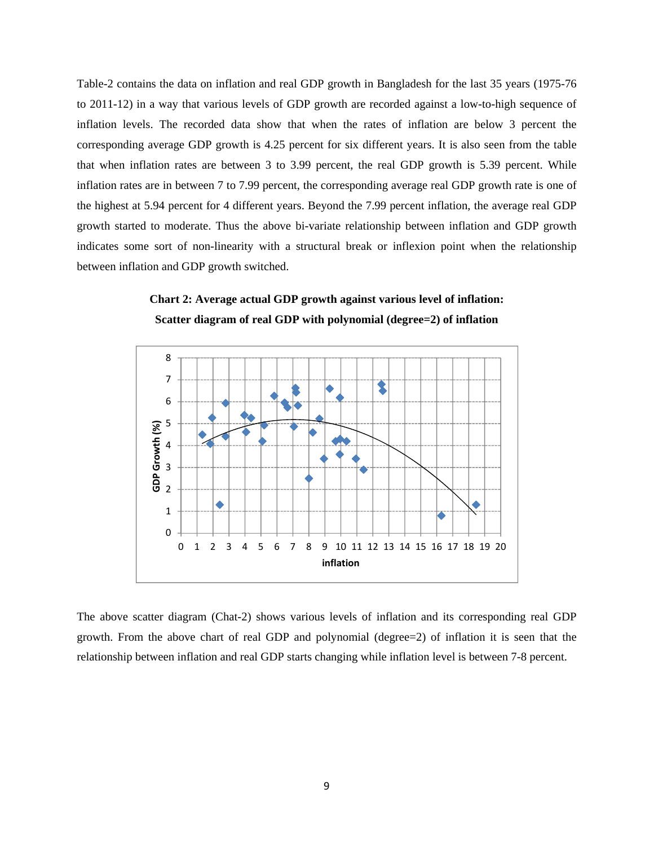Table-2 contains the data on inflation and real GDP growth in Bangladesh for the last 35 years (1975-76 to 2011-12) in a way that various levels of GDP growth are recorded against a low-to-high sequence of inflation levels. The recorded data show that when the rates of inflation are below 3 percent the corresponding average GDP growth is 4.25 percent for six different years. It is also seen from the table that when inflation rates are between 3 to 3.99 percent, the real GDP growth is 5.39 percent. While inflation rates are in between 7 to 7.99 percent, the corresponding average real GDP growth rate is one of the highest at 5.94 percent for 4 different years. Beyond the 7.99 percent inflation, the average real GDP growth started to moderate. Thus the above bi-variate relationship between inflation and GDP growth indicates some sort of non-linearity with a structural break or inflexion point when the relationship between inflation and GDP growth switched.





The above scatter diagram (Chat-2) shows various levels of inflation and its corresponding real GDP growth. From the above chart of real GDP and polynomial (degree=2) of inflation it is seen that the relationship between inflation and real GDP starts changing while inflation level is between 7-8 percent.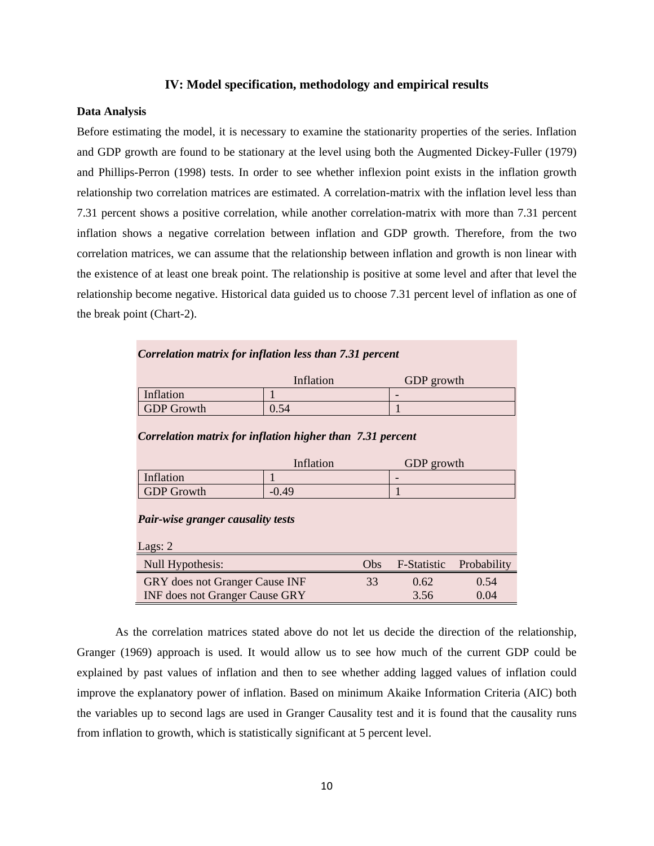#### **IV: Model specification, methodology and empirical results**

## **Data Analysis**

Before estimating the model, it is necessary to examine the stationarity properties of the series. Inflation and GDP growth are found to be stationary at the level using both the Augmented Dickey-Fuller (1979) and Phillips-Perron (1998) tests. In order to see whether inflexion point exists in the inflation growth relationship two correlation matrices are estimated. A correlation-matrix with the inflation level less than 7.31 percent shows a positive correlation, while another correlation-matrix with more than 7.31 percent inflation shows a negative correlation between inflation and GDP growth. Therefore, from the two correlation matrices, we can assume that the relationship between inflation and growth is non linear with the existence of at least one break point. The relationship is positive at some level and after that level the relationship become negative. Historical data guided us to choose 7.31 percent level of inflation as one of the break point (Chart-2).

## *Correlation matrix for inflation less than 7.31 percent*

|            | Inflation | GDP growth               |
|------------|-----------|--------------------------|
| Inflation  |           | $\overline{\phantom{0}}$ |
| GDP Growth | 0.54      |                          |

#### *Correlation matrix for inflation higher than 7.31 percent*

|            | Inflation | GDP growth |
|------------|-----------|------------|
| Inflation  |           | -          |
| GDP Growth | $-0.49$   |            |

#### *Pair-wise granger causality tests*

| Lags: 2                               |      |                                |      |
|---------------------------------------|------|--------------------------------|------|
| Null Hypothesis:                      | Obs. | <b>F-Statistic Probability</b> |      |
| <b>GRY</b> does not Granger Cause INF | 33   | 0.62                           | 0.54 |
| <b>INF</b> does not Granger Cause GRY |      | 3.56                           | 0.04 |

As the correlation matrices stated above do not let us decide the direction of the relationship, Granger (1969) approach is used. It would allow us to see how much of the current GDP could be explained by past values of inflation and then to see whether adding lagged values of inflation could improve the explanatory power of inflation. Based on minimum Akaike Information Criteria (AIC) both the variables up to second lags are used in Granger Causality test and it is found that the causality runs from inflation to growth, which is statistically significant at 5 percent level.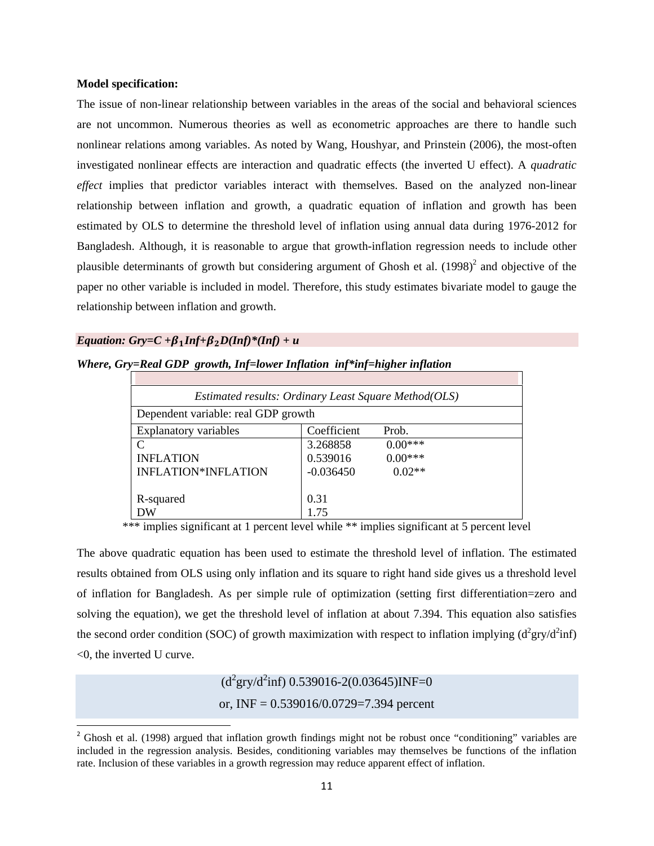#### **Model specification:**

The issue of non-linear relationship between variables in the areas of the social and behavioral sciences are not uncommon. Numerous theories as well as econometric approaches are there to handle such nonlinear relations among variables. As noted by Wang, Houshyar, and Prinstein (2006), the most-often investigated nonlinear effects are interaction and quadratic effects (the inverted U effect). A *quadratic effect* implies that predictor variables interact with themselves. Based on the analyzed non-linear relationship between inflation and growth, a quadratic equation of inflation and growth has been estimated by OLS to determine the threshold level of inflation using annual data during 1976-2012 for Bangladesh. Although, it is reasonable to argue that growth-inflation regression needs to include other plausible determinants of growth but considering argument of Ghosh et al.  $(1998)^2$  and objective of the paper no other variable is included in model. Therefore, this study estimates bivariate model to gauge the relationship between inflation and growth.

## *Equation: Gry=C +* $\beta_1$ *Inf+* $\beta_2$ *D(Inf)*\*(*Inf)* + u

| Where, Gry=Real GDP growth, Inf=lower Inflation inf*inf=higher inflation |  |  |  |  |
|--------------------------------------------------------------------------|--|--|--|--|
|--------------------------------------------------------------------------|--|--|--|--|

| Estimated results: Ordinary Least Square Method(OLS) |             |           |  |  |  |
|------------------------------------------------------|-------------|-----------|--|--|--|
| Dependent variable: real GDP growth                  |             |           |  |  |  |
| <b>Explanatory variables</b>                         | Coefficient | Prob.     |  |  |  |
| C                                                    | 3.268858    | $0.00***$ |  |  |  |
| <b>INFLATION</b>                                     | 0.539016    | $0.00***$ |  |  |  |
| INFLATION*INFLATION                                  | $-0.036450$ | $0.02**$  |  |  |  |
|                                                      |             |           |  |  |  |
| R-squared                                            | 0.31        |           |  |  |  |
| DW                                                   | 175         |           |  |  |  |

\*\*\* implies significant at 1 percent level while \*\* implies significant at 5 percent level

The above quadratic equation has been used to estimate the threshold level of inflation. The estimated results obtained from OLS using only inflation and its square to right hand side gives us a threshold level of inflation for Bangladesh. As per simple rule of optimization (setting first differentiation=zero and solving the equation), we get the threshold level of inflation at about 7.394. This equation also satisfies the second order condition (SOC) of growth maximization with respect to inflation implying  $(d^2gr/d^2inf)$ <0, the inverted U curve.

> $(d^{2}gry/d^{2}inf)$  0.539016-2(0.03645)INF=0 or, INF =  $0.539016/0.0729=7.394$  percent

<sup>2</sup> Ghosh et al. (1998) argued that inflation growth findings might not be robust once "conditioning" variables are included in the regression analysis. Besides, conditioning variables may themselves be functions of the inflation rate. Inclusion of these variables in a growth regression may reduce apparent effect of inflation.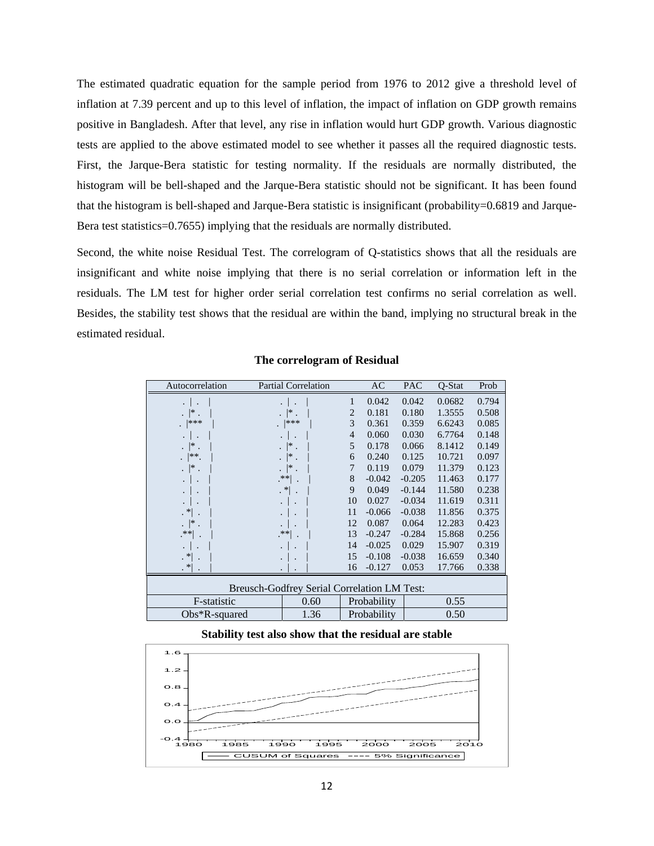The estimated quadratic equation for the sample period from 1976 to 2012 give a threshold level of inflation at 7.39 percent and up to this level of inflation, the impact of inflation on GDP growth remains positive in Bangladesh. After that level, any rise in inflation would hurt GDP growth. Various diagnostic tests are applied to the above estimated model to see whether it passes all the required diagnostic tests. First, the Jarque-Bera statistic for testing normality. If the residuals are normally distributed, the histogram will be bell-shaped and the Jarque-Bera statistic should not be significant. It has been found that the histogram is bell-shaped and Jarque-Bera statistic is insignificant (probability=0.6819 and Jarque-Bera test statistics=0.7655) implying that the residuals are normally distributed.

Second, the white noise Residual Test. The correlogram of Q-statistics shows that all the residuals are insignificant and white noise implying that there is no serial correlation or information left in the residuals. The LM test for higher order serial correlation test confirms no serial correlation as well. Besides, the stability test shows that the residual are within the band, implying no structural break in the estimated residual.

| Autocorrelation                             | <b>Partial Correlation</b>                      |    | AC          | <b>PAC</b> | O-Stat | Prob  |  |  |
|---------------------------------------------|-------------------------------------------------|----|-------------|------------|--------|-------|--|--|
| $\cdot$ .                                   | $\cdot$ .                                       | 1  | 0.042       | 0.042      | 0.0682 | 0.794 |  |  |
| $  *  $ .                                   | . $ $ *.                                        | 2  | 0.181       | 0.180      | 1.3555 | 0.508 |  |  |
| $.  ***$                                    | $.$  ***                                        | 3  | 0.361       | 0.359      | 6.6243 | 0.085 |  |  |
| $\cdot$ .                                   | $\cdot$ .                                       | 4  | 0.060       | 0.030      | 6.7764 | 0.148 |  |  |
| . $\vert^*$ .                               | . $\vert^*$ .                                   | 5  | 0.178       | 0.066      | 8.1412 | 0.149 |  |  |
| $ ^{**}.$                                   | . $\vert^*$ .                                   | 6  | 0.240       | 0.125      | 10.721 | 0.097 |  |  |
| . $\vert^*$ .                               | . $\vert^*$ .                                   | 7  | 0.119       | 0.079      | 11.379 | 0.123 |  |  |
|                                             | $\cdot$ **  $\cdot$                             | 8  | $-0.042$    | $-0.205$   | 11.463 | 0.177 |  |  |
|                                             | $\mathbf{R}^*$ .                                | 9  | 0.049       | $-0.144$   | 11.580 | 0.238 |  |  |
|                                             |                                                 | 10 | 0.027       | $-0.034$   | 11.619 | 0.311 |  |  |
| $\mathbf{R}^*$ .                            |                                                 | 11 | $-0.066$    | $-0.038$   | 11.856 | 0.375 |  |  |
| . $\vert^*$ .                               |                                                 | 12 | 0.087       | 0.064      | 12.283 | 0.423 |  |  |
| $\left  \cdot \right $ .                    | $^{\ast\ast\left\vert \ \ \cdot\ \right\vert }$ | 13 | $-0.247$    | $-0.284$   | 15.868 | 0.256 |  |  |
| $\cdot$                                     |                                                 | 14 | $-0.025$    | 0.029      | 15.907 | 0.319 |  |  |
| $\mathbf{R}^*$ .                            |                                                 | 15 | $-0.108$    | $-0.038$   | 16.659 | 0.340 |  |  |
| $\mathbf{R}^*$ .                            |                                                 | 16 | $-0.127$    | 0.053      | 17.766 | 0.338 |  |  |
| Breusch-Godfrey Serial Correlation LM Test: |                                                 |    |             |            |        |       |  |  |
| F-statistic                                 | 0.60                                            |    | Probability |            | 0.55   |       |  |  |
| Obs*R-squared                               | 1.36                                            |    | Probability |            | 0.50   |       |  |  |

#### **The correlogram of Residual**

#### **Stability test also show that the residual are stable**

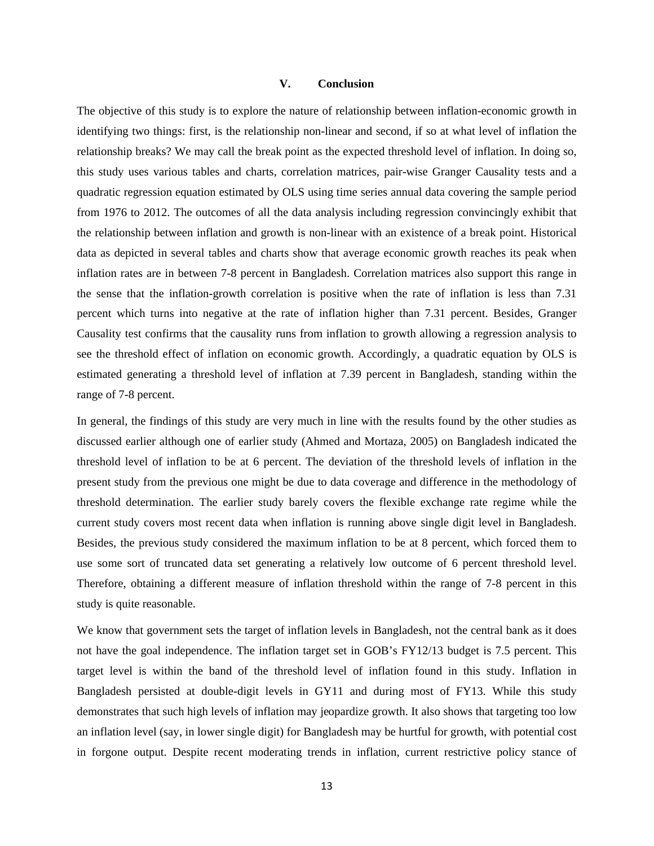## **V. Conclusion**

The objective of this study is to explore the nature of relationship between inflation-economic growth in identifying two things: first, is the relationship non-linear and second, if so at what level of inflation the relationship breaks? We may call the break point as the expected threshold level of inflation. In doing so, this study uses various tables and charts, correlation matrices, pair-wise Granger Causality tests and a quadratic regression equation estimated by OLS using time series annual data covering the sample period from 1976 to 2012. The outcomes of all the data analysis including regression convincingly exhibit that the relationship between inflation and growth is non-linear with an existence of a break point. Historical data as depicted in several tables and charts show that average economic growth reaches its peak when inflation rates are in between 7-8 percent in Bangladesh. Correlation matrices also support this range in the sense that the inflation-growth correlation is positive when the rate of inflation is less than 7.31 percent which turns into negative at the rate of inflation higher than 7.31 percent. Besides, Granger Causality test confirms that the causality runs from inflation to growth allowing a regression analysis to see the threshold effect of inflation on economic growth. Accordingly, a quadratic equation by OLS is estimated generating a threshold level of inflation at 7.39 percent in Bangladesh, standing within the range of 7-8 percent.

In general, the findings of this study are very much in line with the results found by the other studies as discussed earlier although one of earlier study (Ahmed and Mortaza, 2005) on Bangladesh indicated the threshold level of inflation to be at 6 percent. The deviation of the threshold levels of inflation in the present study from the previous one might be due to data coverage and difference in the methodology of threshold determination. The earlier study barely covers the flexible exchange rate regime while the current study covers most recent data when inflation is running above single digit level in Bangladesh. Besides, the previous study considered the maximum inflation to be at 8 percent, which forced them to use some sort of truncated data set generating a relatively low outcome of 6 percent threshold level. Therefore, obtaining a different measure of inflation threshold within the range of 7-8 percent in this study is quite reasonable.

We know that government sets the target of inflation levels in Bangladesh, not the central bank as it does not have the goal independence. The inflation target set in GOB's FY12/13 budget is 7.5 percent. This target level is within the band of the threshold level of inflation found in this study. Inflation in Bangladesh persisted at double-digit levels in GY11 and during most of FY13. While this study demonstrates that such high levels of inflation may jeopardize growth. It also shows that targeting too low an inflation level (say, in lower single digit) for Bangladesh may be hurtful for growth, with potential cost in forgone output. Despite recent moderating trends in inflation, current restrictive policy stance of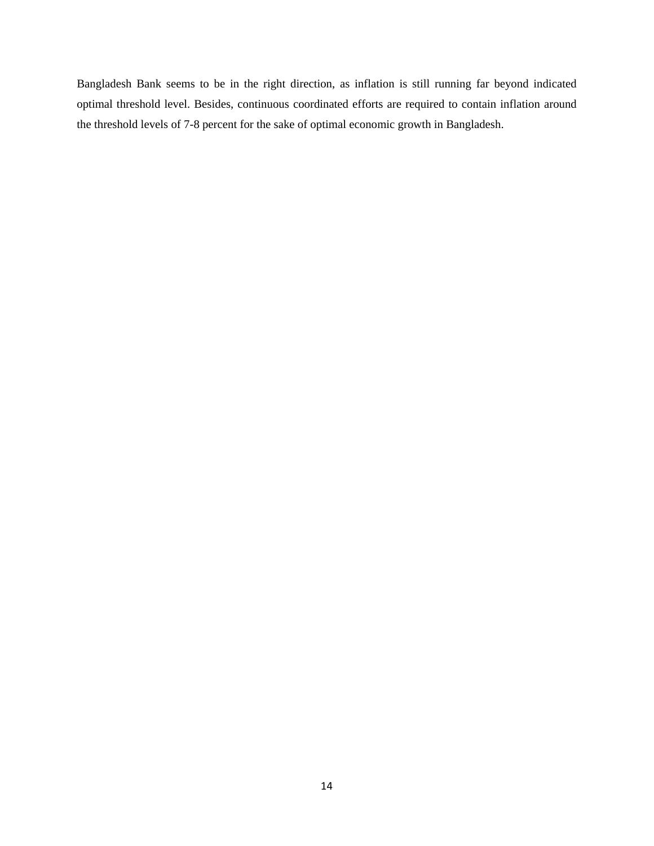Bangladesh Bank seems to be in the right direction, as inflation is still running far beyond indicated optimal threshold level. Besides, continuous coordinated efforts are required to contain inflation around the threshold levels of 7-8 percent for the sake of optimal economic growth in Bangladesh.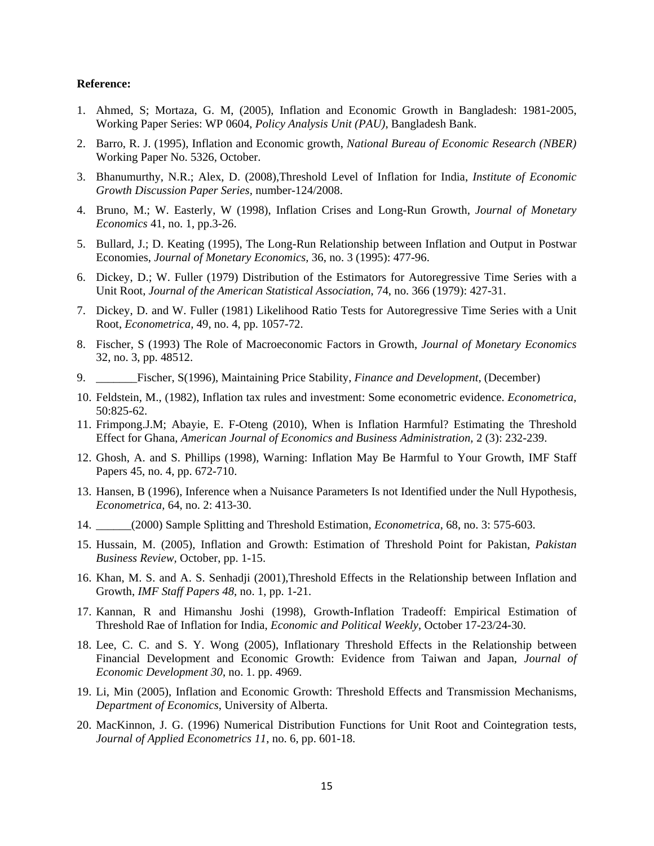#### **Reference:**

- 1. Ahmed, S; Mortaza, G. M, (2005), Inflation and Economic Growth in Bangladesh: 1981-2005, Working Paper Series: WP 0604, *Policy Analysis Unit (PAU)*, Bangladesh Bank.
- 2. Barro, R. J. (1995), Inflation and Economic growth, *National Bureau of Economic Research (NBER)* Working Paper No. 5326, October.
- 3. Bhanumurthy, N.R.; Alex, D. (2008),Threshold Level of Inflation for India, *Institute of Economic Growth Discussion Paper Series,* number-124/2008.
- 4. Bruno, M.; W. Easterly, W (1998), Inflation Crises and Long-Run Growth, *Journal of Monetary Economics* 41, no. 1, pp.3-26.
- 5. Bullard, J.; D. Keating (1995), The Long-Run Relationship between Inflation and Output in Postwar Economies, *Journal of Monetary Economics,* 36, no. 3 (1995): 477-96.
- 6. Dickey, D.; W. Fuller (1979) Distribution of the Estimators for Autoregressive Time Series with a Unit Root, *Journal of the American Statistical Association*, 74, no. 366 (1979): 427-31.
- 7. Dickey, D. and W. Fuller (1981) Likelihood Ratio Tests for Autoregressive Time Series with a Unit Root, *Econometrica,* 49, no. 4, pp. 1057-72.
- 8. Fischer, S (1993) The Role of Macroeconomic Factors in Growth, *Journal of Monetary Economics* 32, no. 3, pp. 48512.
- 9. \_\_\_\_\_\_\_Fischer, S(1996), Maintaining Price Stability, *Finance and Development*, (December)
- 10. Feldstein, M., (1982), Inflation tax rules and investment: Some econometric evidence. *Econometrica,* 50:825-62.
- 11. Frimpong.J.M; Abayie, E. F-Oteng (2010), When is Inflation Harmful? Estimating the Threshold Effect for Ghana, *American Journal of Economics and Business Administration,* 2 (3): 232-239.
- 12. Ghosh, A. and S. Phillips (1998), Warning: Inflation May Be Harmful to Your Growth, IMF Staff Papers 45, no. 4, pp. 672-710.
- 13. Hansen, B (1996), Inference when a Nuisance Parameters Is not Identified under the Null Hypothesis, *Econometrica,* 64, no. 2: 413-30.
- 14. \_\_\_\_\_\_(2000) Sample Splitting and Threshold Estimation, *Econometrica*, 68, no. 3: 575-603.
- 15. Hussain, M. (2005), Inflation and Growth: Estimation of Threshold Point for Pakistan, *Pakistan Business Review,* October, pp. 1-15.
- 16. Khan, M. S. and A. S. Senhadji (2001),Threshold Effects in the Relationship between Inflation and Growth, *IMF Staff Papers 48*, no. 1, pp. 1-21.
- 17. Kannan, R and Himanshu Joshi (1998), Growth-Inflation Tradeoff: Empirical Estimation of Threshold Rae of Inflation for India, *Economic and Political Weekly*, October 17-23/24-30.
- 18. Lee, C. C. and S. Y. Wong (2005), Inflationary Threshold Effects in the Relationship between Financial Development and Economic Growth: Evidence from Taiwan and Japan, *Journal of Economic Development 30*, no. 1. pp. 4969.
- 19. Li, Min (2005), Inflation and Economic Growth: Threshold Effects and Transmission Mechanisms, *Department of Economics*, University of Alberta.
- 20. MacKinnon, J. G. (1996) Numerical Distribution Functions for Unit Root and Cointegration tests, *Journal of Applied Econometrics 11*, no. 6, pp. 601-18.